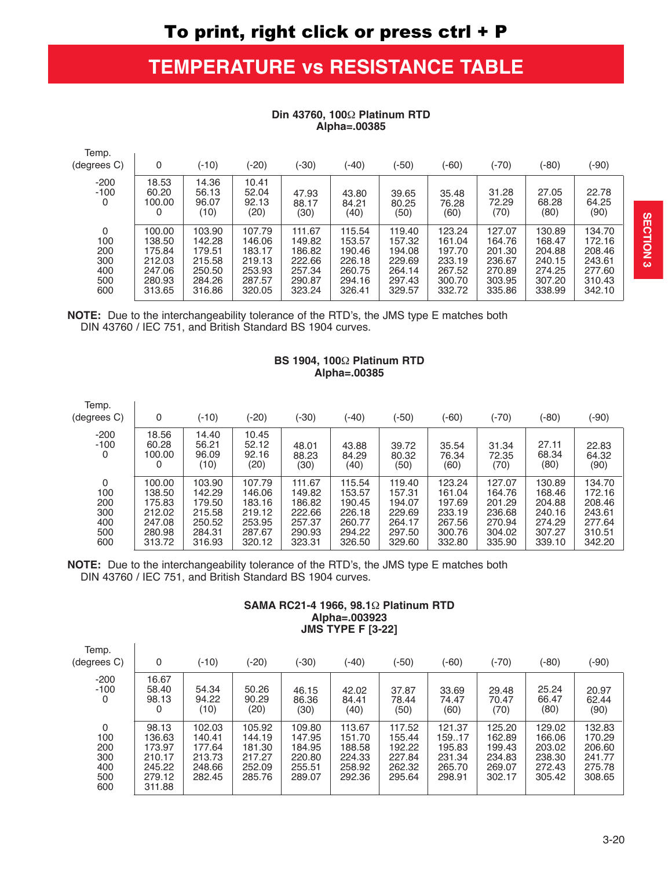# **TEMPERATURE vs RESISTANCE TABLE**

| Temp.<br>(degrees C)                        | 0                                                                  | $(-10)$                                                            | (-20)                                                              | $(-30)$                                                            | (-40)                                                              | (-50)                                                              | $(-60)$                                                            | $(-70)$                                                            | (-80)                                                              | (-90)                                                              |
|---------------------------------------------|--------------------------------------------------------------------|--------------------------------------------------------------------|--------------------------------------------------------------------|--------------------------------------------------------------------|--------------------------------------------------------------------|--------------------------------------------------------------------|--------------------------------------------------------------------|--------------------------------------------------------------------|--------------------------------------------------------------------|--------------------------------------------------------------------|
| $-200$<br>$-100$<br>0                       | 18.53<br>60.20<br>100.00<br>0                                      | 14.36<br>56.13<br>96.07<br>(10)                                    | 10.41<br>52.04<br>92.13<br>(20)                                    | 47.93<br>88.17<br>(30)                                             | 43.80<br>84.21<br>(40)                                             | 39.65<br>80.25<br>(50)                                             | 35.48<br>76.28<br>(60)                                             | 31.28<br>72.29<br>(70)                                             | 27.05<br>68.28<br>(80)                                             | 22.78<br>64.25<br>(90)                                             |
| 0<br>100<br>200<br>300<br>400<br>500<br>600 | 100.00<br>138.50<br>175.84<br>212.03<br>247.06<br>280.93<br>313.65 | 103.90<br>142.28<br>179.51<br>215.58<br>250.50<br>284.26<br>316.86 | 107.79<br>146.06<br>183.17<br>219.13<br>253.93<br>287.57<br>320.05 | 111.67<br>149.82<br>186.82<br>222.66<br>257.34<br>290.87<br>323.24 | 115.54<br>153.57<br>190.46<br>226.18<br>260.75<br>294.16<br>326.41 | 119.40<br>157.32<br>194.08<br>229.69<br>264.14<br>297.43<br>329.57 | 123.24<br>161.04<br>197.70<br>233.19<br>267.52<br>300.70<br>332.72 | 127.07<br>164.76<br>201.30<br>236.67<br>270.89<br>303.95<br>335.86 | 130.89<br>168.47<br>204.88<br>240.15<br>274.25<br>307.20<br>338.99 | 134.70<br>172.16<br>208.46<br>243.61<br>277.60<br>310.43<br>342.10 |

## Din 43760, 1002 Platinum RTD Alpha=.00385

NOTE: Due to the interchangeability tolerance of the RTD's, the JMS type E matches both DIN 43760 / IEC 751, and British Standard BS 1904 curves.

 $T = 1$ 

 $\sim$  1

 $\overline{\phantom{a}}$ 

## BS 1904, 1002 Platinum RTD Alpha=.00385

| remp.<br>(degrees C)  | 0                             | $(-10)$                         | $(-20)$                         | $(-30)$                | (-40)                  | (-50)                  | (-60)                  | (-70)                  | (-80)                  | (-90)                  |
|-----------------------|-------------------------------|---------------------------------|---------------------------------|------------------------|------------------------|------------------------|------------------------|------------------------|------------------------|------------------------|
| $-200$<br>$-100$<br>0 | 18.56<br>60.28<br>100.00<br>0 | 14.40<br>56.21<br>96.09<br>(10) | 10.45<br>52.12<br>92.16<br>(20) | 48.01<br>88.23<br>(30) | 43.88<br>84.29<br>(40) | 39.72<br>80.32<br>(50) | 35.54<br>76.34<br>(60) | 31.34<br>72.35<br>(70) | 27.11<br>68.34<br>(80) | 22.83<br>64.32<br>(90) |
| 0                     | 100.00                        | 103.90                          | 107.79                          | 111.67                 | 115.54                 | 119.40                 | 123.24                 | 127.07                 | 130.89                 | 134.70                 |
| 100                   | 138.50                        | 142.29                          | 146.06                          | 149.82                 | 153.57                 | 157.31                 | 161.04                 | 164.76                 | 168.46                 | 172.16                 |
| 200                   | 175.83                        | 179.50                          | 183.16                          | 186.82                 | 190.45                 | 194.07                 | 197.69                 | 201.29                 | 204.88                 | 208.46                 |
| 300                   | 212.02                        | 215.58                          | 219.12                          | 222.66                 | 226.18                 | 229.69                 | 233.19                 | 236.68                 | 240.16                 | 243.61                 |
| 400                   | 247.08                        | 250.52                          | 253.95                          | 257.37                 | 260.77                 | 264.17                 | 267.56                 | 270.94                 | 274.29                 | 277.64                 |
| 500                   | 280.98                        | 284.31                          | 287.67                          | 290.93                 | 294.22                 | 297.50                 | 300.76                 | 304.02                 | 307.27                 | 310.51                 |
| 600                   | 313.72                        | 316.93                          | 320.12                          | 323.31                 | 326.50                 | 329.60                 | 332.80                 | 335.90                 | 339.10                 | 342.20                 |

NOTE: Due to the interchangeability tolerance of the RTD's, the JMS type E matches both DIN 43760 / IEC 751, and British Standard BS 1904 curves.

## SAMA RC21-4 1966, 98.12 Platinum RTD Alpha=.003923 **JMS TYPE F [3-22]**

| Temp.<br>(degrees C)                        | 0                                                                 | $(-10)$                                                  | $(-20)$                                                  | $(-30)$                                                  | (-40)                                                    | (-50)                                                    | (-60)                                                    | (-70)                                                    | $(-80)$                                                  | (-90)                                                    |
|---------------------------------------------|-------------------------------------------------------------------|----------------------------------------------------------|----------------------------------------------------------|----------------------------------------------------------|----------------------------------------------------------|----------------------------------------------------------|----------------------------------------------------------|----------------------------------------------------------|----------------------------------------------------------|----------------------------------------------------------|
| $-200$<br>$-100$<br>0                       | 16.67<br>58.40<br>98.13<br>0                                      | 54.34<br>94.22<br>(10)                                   | 50.26<br>90.29<br>(20)                                   | 46.15<br>86.36<br>(30)                                   | 42.02<br>84.41<br>(40)                                   | 37.87<br>78.44<br>(50)                                   | 33.69<br>74.47<br>(60)                                   | 29.48<br>70.47<br>(70)                                   | 25.24<br>66.47<br>(80)                                   | 20.97<br>62.44<br>(90)                                   |
| 0<br>100<br>200<br>300<br>400<br>500<br>600 | 98.13<br>136.63<br>173.97<br>210.17<br>245.22<br>279.12<br>311.88 | 102.03<br>140.41<br>177.64<br>213.73<br>248.66<br>282.45 | 105.92<br>144.19<br>181.30<br>217.27<br>252.09<br>285.76 | 109.80<br>147.95<br>184.95<br>220.80<br>255.51<br>289.07 | 113.67<br>151.70<br>188.58<br>224.33<br>258.92<br>292.36 | 117.52<br>155.44<br>192.22<br>227.84<br>262.32<br>295.64 | 121.37<br>159.17<br>195.83<br>231.34<br>265.70<br>298.91 | 125.20<br>162.89<br>199.43<br>234.83<br>269.07<br>302.17 | 129.02<br>166.06<br>203.02<br>238.30<br>272.43<br>305.42 | 132.83<br>170.29<br>206.60<br>241.77<br>275.78<br>308.65 |